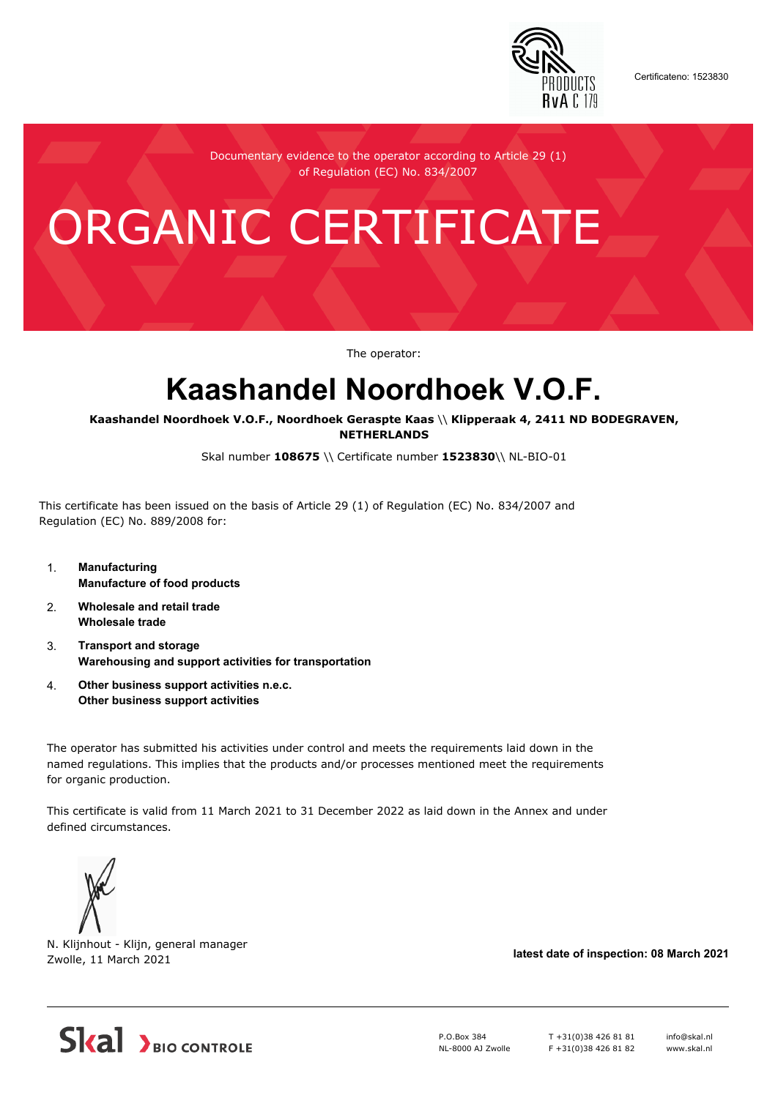

Certificateno: 1523830

Documentary evidence to the operator according to Article 29 (1) of Regulation (EC) No. 834/2007

# ORGANIC CERTIFICATE

The operator:

## **Kaashandel Noordhoek V.O.F.**

**Kaashandel Noordhoek V.O.F., Noordhoek Geraspte Kaas** \\ **Klipperaak 4, 2411 ND BODEGRAVEN, NETHERLANDS**

Skal number **108675** \\ Certificate number **1523830**\\ NL-BIO-01

This certificate has been issued on the basis of Article 29 (1) of Regulation (EC) No. 834/2007 and Regulation (EC) No. 889/2008 for:

- 1. **Manufacturing Manufacture of food products**
- 2. **Wholesale and retail trade Wholesale trade**
- 3. **Transport and storage Warehousing and support activities for transportation**
- 4. **Other business support activities n.e.c. Other business support activities**

The operator has submitted his activities under control and meets the requirements laid down in the named regulations. This implies that the products and/or processes mentioned meet the requirements for organic production.

This certificate is valid from 11 March 2021 to 31 December 2022 as laid down in the Annex and under defined circumstances.



N. Klijnhout - Klijn, general manager Zwolle, 11 March 2021 **latest date of inspection: 08 March 2021**



P.O.Box 384 NL-8000 AJ Zwolle T +31(0)38 426 81 81 F +31(0)38 426 81 82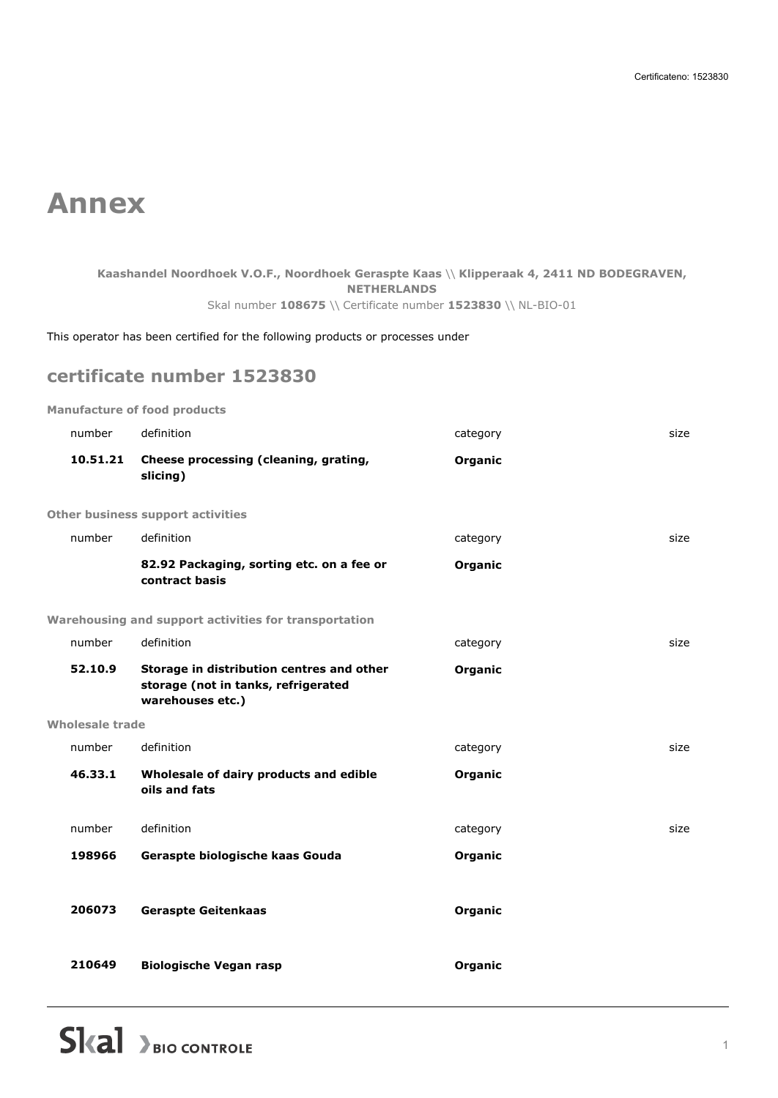### **Annex**

#### **Kaashandel Noordhoek V.O.F., Noordhoek Geraspte Kaas** \\ **Klipperaak 4, 2411 ND BODEGRAVEN, NETHERLANDS** Skal number **108675** \\ Certificate number **1523830** \\ NL-BIO-01

This operator has been certified for the following products or processes under

#### **certificate number 1523830**

**Manufacture of food products**

| number          | definition                                                                                           | category | size |
|-----------------|------------------------------------------------------------------------------------------------------|----------|------|
| 10.51.21        | Cheese processing (cleaning, grating,<br>slicing)                                                    | Organic  |      |
|                 | <b>Other business support activities</b>                                                             |          |      |
| number          | definition                                                                                           | category | size |
|                 | 82.92 Packaging, sorting etc. on a fee or<br>contract basis                                          | Organic  |      |
|                 | Warehousing and support activities for transportation                                                |          |      |
| number          | definition                                                                                           | category | size |
| 52.10.9         | Storage in distribution centres and other<br>storage (not in tanks, refrigerated<br>warehouses etc.) | Organic  |      |
| Wholesale trade |                                                                                                      |          |      |
| number          | definition                                                                                           | category | size |
| 46.33.1         | Wholesale of dairy products and edible<br>oils and fats                                              | Organic  |      |
| number          | definition                                                                                           | category | size |
| 198966          | Geraspte biologische kaas Gouda                                                                      | Organic  |      |
| 206073          | <b>Geraspte Geitenkaas</b>                                                                           | Organic  |      |
| 210649          | <b>Biologische Vegan rasp</b>                                                                        | Organic  |      |